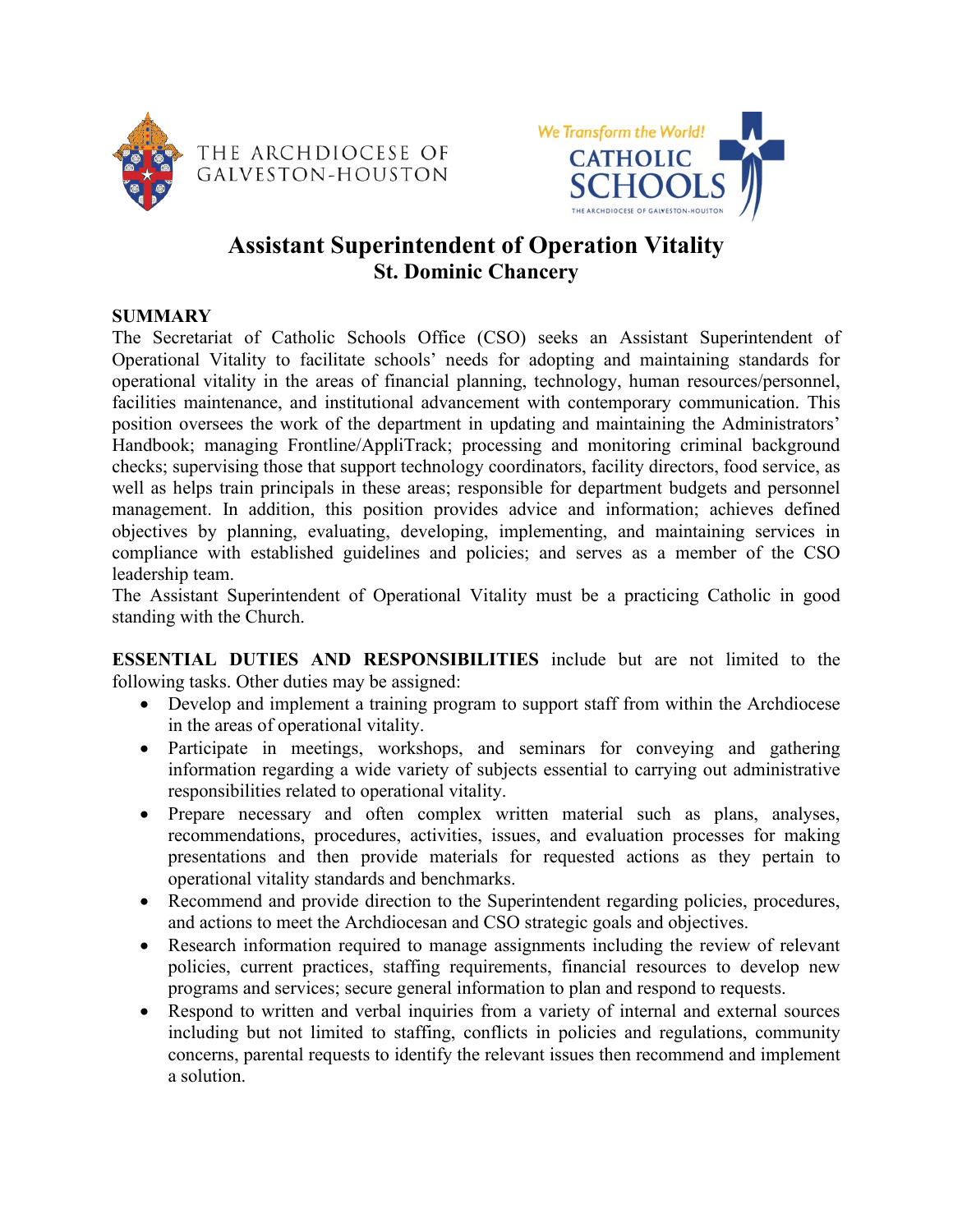



# **Assistant Superintendent of Operation Vitality St. Dominic Chancery**

#### **SUMMARY**

The Secretariat of Catholic Schools Office (CSO) seeks an Assistant Superintendent of Operational Vitality to facilitate schools' needs for adopting and maintaining standards for operational vitality in the areas of financial planning, technology, human resources/personnel, facilities maintenance, and institutional advancement with contemporary communication. This position oversees the work of the department in updating and maintaining the Administrators' Handbook; managing Frontline/AppliTrack; processing and monitoring criminal background checks; supervising those that support technology coordinators, facility directors, food service, as well as helps train principals in these areas; responsible for department budgets and personnel management. In addition, this position provides advice and information; achieves defined objectives by planning, evaluating, developing, implementing, and maintaining services in compliance with established guidelines and policies; and serves as a member of the CSO leadership team.

The Assistant Superintendent of Operational Vitality must be a practicing Catholic in good standing with the Church.

**ESSENTIAL DUTIES AND RESPONSIBILITIES** include but are not limited to the following tasks. Other duties may be assigned:

- Develop and implement a training program to support staff from within the Archdiocese in the areas of operational vitality.
- Participate in meetings, workshops, and seminars for conveying and gathering information regarding a wide variety of subjects essential to carrying out administrative responsibilities related to operational vitality.
- Prepare necessary and often complex written material such as plans, analyses, recommendations, procedures, activities, issues, and evaluation processes for making presentations and then provide materials for requested actions as they pertain to operational vitality standards and benchmarks.
- Recommend and provide direction to the Superintendent regarding policies, procedures, and actions to meet the Archdiocesan and CSO strategic goals and objectives.
- Research information required to manage assignments including the review of relevant policies, current practices, staffing requirements, financial resources to develop new programs and services; secure general information to plan and respond to requests.
- Respond to written and verbal inquiries from a variety of internal and external sources including but not limited to staffing, conflicts in policies and regulations, community concerns, parental requests to identify the relevant issues then recommend and implement a solution.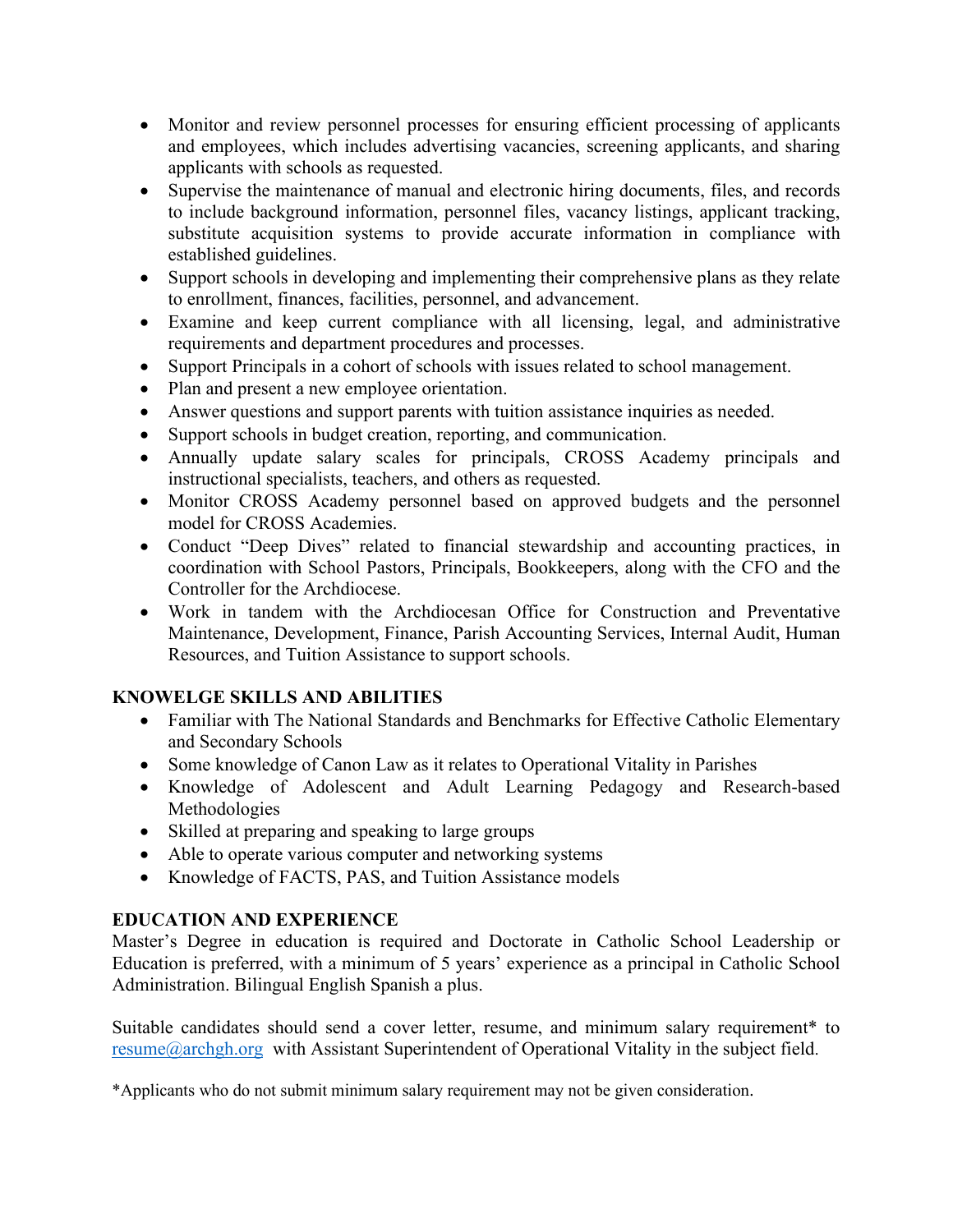- Monitor and review personnel processes for ensuring efficient processing of applicants and employees, which includes advertising vacancies, screening applicants, and sharing applicants with schools as requested.
- Supervise the maintenance of manual and electronic hiring documents, files, and records to include background information, personnel files, vacancy listings, applicant tracking, substitute acquisition systems to provide accurate information in compliance with established guidelines.
- Support schools in developing and implementing their comprehensive plans as they relate to enrollment, finances, facilities, personnel, and advancement.
- Examine and keep current compliance with all licensing, legal, and administrative requirements and department procedures and processes.
- Support Principals in a cohort of schools with issues related to school management.
- Plan and present a new employee orientation.
- Answer questions and support parents with tuition assistance inquiries as needed.
- Support schools in budget creation, reporting, and communication.
- Annually update salary scales for principals, CROSS Academy principals and instructional specialists, teachers, and others as requested.
- Monitor CROSS Academy personnel based on approved budgets and the personnel model for CROSS Academies.
- Conduct "Deep Dives" related to financial stewardship and accounting practices, in coordination with School Pastors, Principals, Bookkeepers, along with the CFO and the Controller for the Archdiocese.
- Work in tandem with the Archdiocesan Office for Construction and Preventative Maintenance, Development, Finance, Parish Accounting Services, Internal Audit, Human Resources, and Tuition Assistance to support schools.

## **KNOWELGE SKILLS AND ABILITIES**

- Familiar with The National Standards and Benchmarks for Effective Catholic Elementary and Secondary Schools
- Some knowledge of Canon Law as it relates to Operational Vitality in Parishes
- Knowledge of Adolescent and Adult Learning Pedagogy and Research-based Methodologies
- Skilled at preparing and speaking to large groups
- Able to operate various computer and networking systems
- Knowledge of FACTS, PAS, and Tuition Assistance models

## **EDUCATION AND EXPERIENCE**

Master's Degree in education is required and Doctorate in Catholic School Leadership or Education is preferred, with a minimum of 5 years' experience as a principal in Catholic School Administration. Bilingual English Spanish a plus.

Suitable candidates should send a cover letter, resume, and minimum salary requirement\* to [resume@archgh.org](mailto:resume@archgh.org) with Assistant Superintendent of Operational Vitality in the subject field.

\*Applicants who do not submit minimum salary requirement may not be given consideration.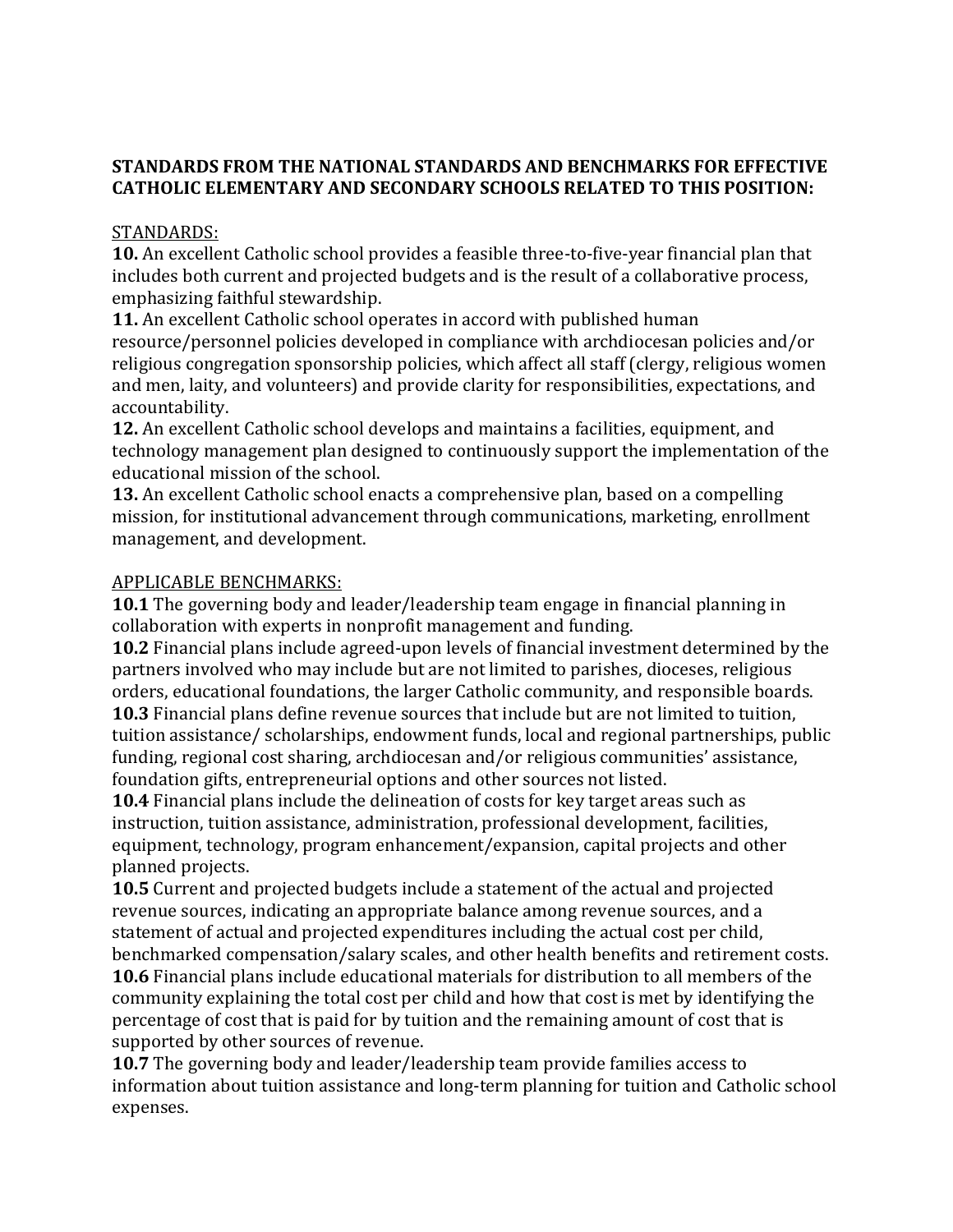## **STANDARDS FROM THE NATIONAL STANDARDS AND BENCHMARKS FOR EFFECTIVE CATHOLIC ELEMENTARY AND SECONDARY SCHOOLS RELATED TO THIS POSITION:**

#### STANDARDS:

**10.** An excellent Catholic school provides a feasible three-to-five-year financial plan that includes both current and projected budgets and is the result of a collaborative process, emphasizing faithful stewardship.

**11.** An excellent Catholic school operates in accord with published human resource/personnel policies developed in compliance with archdiocesan policies and/or religious congregation sponsorship policies, which affect all staff (clergy, religious women and men, laity, and volunteers) and provide clarity for responsibilities, expectations, and accountability.

**12.** An excellent Catholic school develops and maintains a facilities, equipment, and technology management plan designed to continuously support the implementation of the educational mission of the school.

**13.** An excellent Catholic school enacts a comprehensive plan, based on a compelling mission, for institutional advancement through communications, marketing, enrollment management, and development.

## APPLICABLE BENCHMARKS:

**10.1** The governing body and leader/leadership team engage in financial planning in collaboration with experts in nonprofit management and funding.

**10.2** Financial plans include agreed-upon levels of financial investment determined by the partners involved who may include but are not limited to parishes, dioceses, religious orders, educational foundations, the larger Catholic community, and responsible boards. **10.3** Financial plans define revenue sources that include but are not limited to tuition, tuition assistance/ scholarships, endowment funds, local and regional partnerships, public funding, regional cost sharing, archdiocesan and/or religious communities' assistance, foundation gifts, entrepreneurial options and other sources not listed.

**10.4** Financial plans include the delineation of costs for key target areas such as instruction, tuition assistance, administration, professional development, facilities, equipment, technology, program enhancement/expansion, capital projects and other planned projects.

**10.5** Current and projected budgets include a statement of the actual and projected revenue sources, indicating an appropriate balance among revenue sources, and a statement of actual and projected expenditures including the actual cost per child, benchmarked compensation/salary scales, and other health benefits and retirement costs. **10.6** Financial plans include educational materials for distribution to all members of the community explaining the total cost per child and how that cost is met by identifying the percentage of cost that is paid for by tuition and the remaining amount of cost that is supported by other sources of revenue.

**10.7** The governing body and leader/leadership team provide families access to information about tuition assistance and long-term planning for tuition and Catholic school expenses.